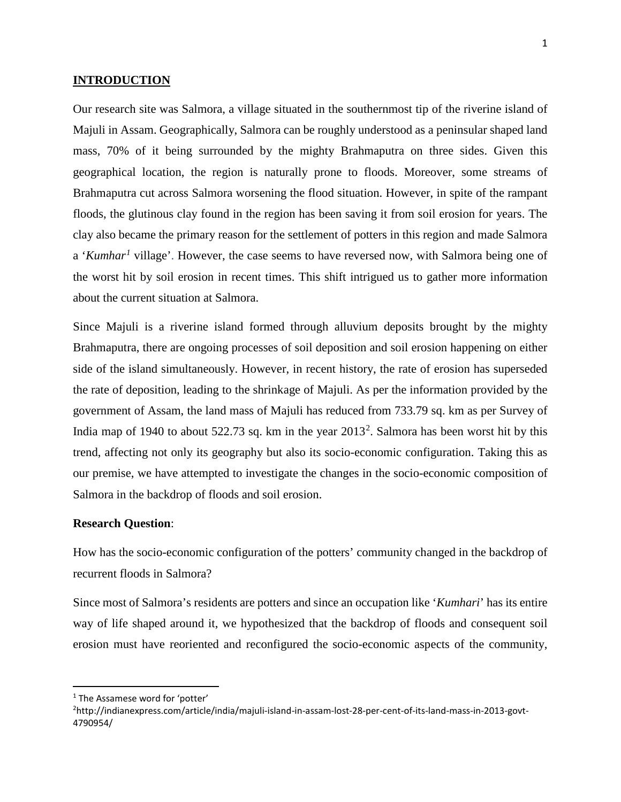#### **INTRODUCTION**

Our research site was Salmora, a village situated in the southernmost tip of the riverine island of Majuli in Assam. Geographically, Salmora can be roughly understood as a peninsular shaped land mass, 70% of it being surrounded by the mighty Brahmaputra on three sides. Given this geographical location, the region is naturally prone to floods. Moreover, some streams of Brahmaputra cut across Salmora worsening the flood situation. However, in spite of the rampant floods, the glutinous clay found in the region has been saving it from soil erosion for years. The clay also became the primary reason for the settlement of potters in this region and made Salmora a '*Kumhar[1](#page-0-0)* village'. However, the case seems to have reversed now, with Salmora being one of the worst hit by soil erosion in recent times. This shift intrigued us to gather more information about the current situation at Salmora.

Since Majuli is a riverine island formed through alluvium deposits brought by the mighty Brahmaputra, there are ongoing processes of soil deposition and soil erosion happening on either side of the island simultaneously. However, in recent history, the rate of erosion has superseded the rate of deposition, leading to the shrinkage of Majuli. As per the information provided by the government of Assam, the land mass of Majuli has reduced from 733.79 sq. km as per Survey of India map of 1940 to about 5[2](#page-0-1)2.73 sq. km in the year  $2013<sup>2</sup>$ . Salmora has been worst hit by this trend, affecting not only its geography but also its socio-economic configuration. Taking this as our premise, we have attempted to investigate the changes in the socio-economic composition of Salmora in the backdrop of floods and soil erosion.

## **Research Question**:

How has the socio-economic configuration of the potters' community changed in the backdrop of recurrent floods in Salmora?

Since most of Salmora's residents are potters and since an occupation like '*Kumhari*' has its entire way of life shaped around it, we hypothesized that the backdrop of floods and consequent soil erosion must have reoriented and reconfigured the socio-economic aspects of the community,

<span id="page-0-0"></span><sup>&</sup>lt;sup>1</sup> The Assamese word for 'potter'

<span id="page-0-1"></span><sup>2</sup> http://indianexpress.com/article/india/majuli-island-in-assam-lost-28-per-cent-of-its-land-mass-in-2013-govt-4790954/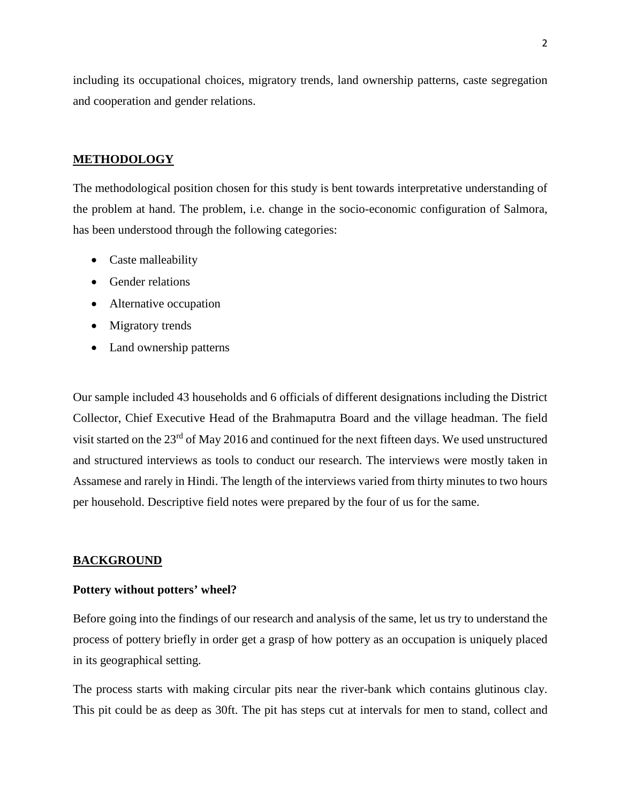including its occupational choices, migratory trends, land ownership patterns, caste segregation and cooperation and gender relations.

#### **METHODOLOGY**

The methodological position chosen for this study is bent towards interpretative understanding of the problem at hand. The problem, i.e. change in the socio-economic configuration of Salmora, has been understood through the following categories:

- Caste malleability
- Gender relations
- Alternative occupation
- Migratory trends
- Land ownership patterns

Our sample included 43 households and 6 officials of different designations including the District Collector, Chief Executive Head of the Brahmaputra Board and the village headman. The field visit started on the 23<sup>rd</sup> of May 2016 and continued for the next fifteen days. We used unstructured and structured interviews as tools to conduct our research. The interviews were mostly taken in Assamese and rarely in Hindi. The length of the interviews varied from thirty minutes to two hours per household. Descriptive field notes were prepared by the four of us for the same.

#### **BACKGROUND**

#### **Pottery without potters' wheel?**

Before going into the findings of our research and analysis of the same, let us try to understand the process of pottery briefly in order get a grasp of how pottery as an occupation is uniquely placed in its geographical setting.

The process starts with making circular pits near the river-bank which contains glutinous clay. This pit could be as deep as 30ft. The pit has steps cut at intervals for men to stand, collect and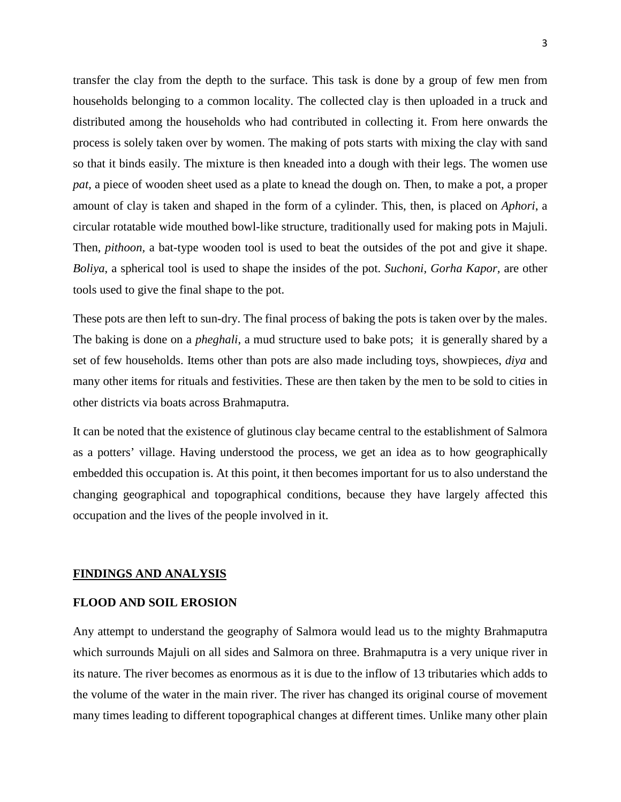transfer the clay from the depth to the surface. This task is done by a group of few men from households belonging to a common locality. The collected clay is then uploaded in a truck and distributed among the households who had contributed in collecting it. From here onwards the process is solely taken over by women. The making of pots starts with mixing the clay with sand so that it binds easily. The mixture is then kneaded into a dough with their legs. The women use *pat*, a piece of wooden sheet used as a plate to knead the dough on. Then, to make a pot, a proper amount of clay is taken and shaped in the form of a cylinder. This, then, is placed on *Aphori*, a circular rotatable wide mouthed bowl-like structure, traditionally used for making pots in Majuli. Then, *pithoon,* a bat-type wooden tool is used to beat the outsides of the pot and give it shape. *Boliya*, a spherical tool is used to shape the insides of the pot. *Suchoni, Gorha Kapor,* are other tools used to give the final shape to the pot.

These pots are then left to sun-dry. The final process of baking the pots is taken over by the males. The baking is done on a *pheghali*, a mud structure used to bake pots; it is generally shared by a set of few households. Items other than pots are also made including toys, showpieces, *diya* and many other items for rituals and festivities. These are then taken by the men to be sold to cities in other districts via boats across Brahmaputra.

It can be noted that the existence of glutinous clay became central to the establishment of Salmora as a potters' village. Having understood the process, we get an idea as to how geographically embedded this occupation is. At this point, it then becomes important for us to also understand the changing geographical and topographical conditions, because they have largely affected this occupation and the lives of the people involved in it.

## **FINDINGS AND ANALYSIS**

## **FLOOD AND SOIL EROSION**

Any attempt to understand the geography of Salmora would lead us to the mighty Brahmaputra which surrounds Majuli on all sides and Salmora on three. Brahmaputra is a very unique river in its nature. The river becomes as enormous as it is due to the inflow of 13 tributaries which adds to the volume of the water in the main river. The river has changed its original course of movement many times leading to different topographical changes at different times. Unlike many other plain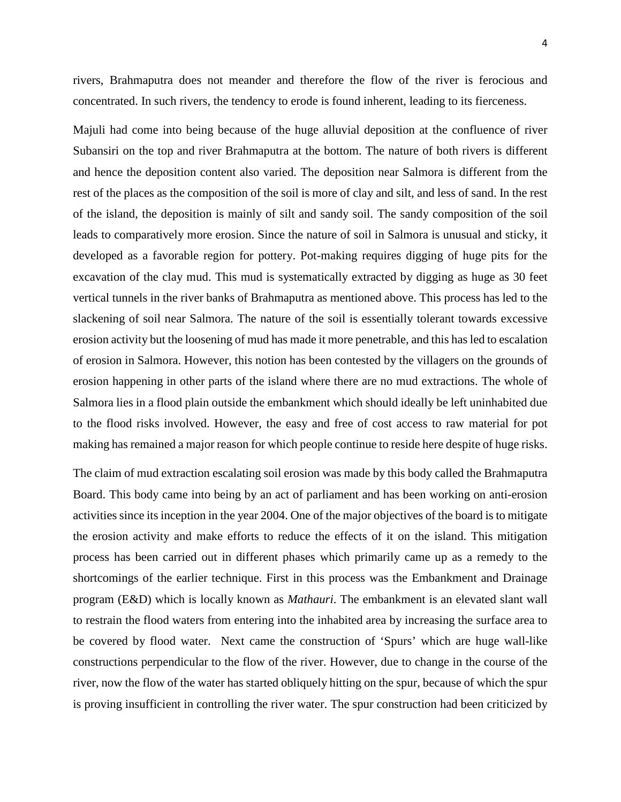rivers, Brahmaputra does not meander and therefore the flow of the river is ferocious and concentrated. In such rivers, the tendency to erode is found inherent, leading to its fierceness.

Majuli had come into being because of the huge alluvial deposition at the confluence of river Subansiri on the top and river Brahmaputra at the bottom. The nature of both rivers is different and hence the deposition content also varied. The deposition near Salmora is different from the rest of the places as the composition of the soil is more of clay and silt, and less of sand. In the rest of the island, the deposition is mainly of silt and sandy soil. The sandy composition of the soil leads to comparatively more erosion. Since the nature of soil in Salmora is unusual and sticky, it developed as a favorable region for pottery. Pot-making requires digging of huge pits for the excavation of the clay mud. This mud is systematically extracted by digging as huge as 30 feet vertical tunnels in the river banks of Brahmaputra as mentioned above. This process has led to the slackening of soil near Salmora. The nature of the soil is essentially tolerant towards excessive erosion activity but the loosening of mud has made it more penetrable, and this has led to escalation of erosion in Salmora. However, this notion has been contested by the villagers on the grounds of erosion happening in other parts of the island where there are no mud extractions. The whole of Salmora lies in a flood plain outside the embankment which should ideally be left uninhabited due to the flood risks involved. However, the easy and free of cost access to raw material for pot making has remained a major reason for which people continue to reside here despite of huge risks.

The claim of mud extraction escalating soil erosion was made by this body called the Brahmaputra Board. This body came into being by an act of parliament and has been working on anti-erosion activities since its inception in the year 2004. One of the major objectives of the board is to mitigate the erosion activity and make efforts to reduce the effects of it on the island. This mitigation process has been carried out in different phases which primarily came up as a remedy to the shortcomings of the earlier technique. First in this process was the Embankment and Drainage program (E&D) which is locally known as *Mathauri*. The embankment is an elevated slant wall to restrain the flood waters from entering into the inhabited area by increasing the surface area to be covered by flood water. Next came the construction of 'Spurs' which are huge wall-like constructions perpendicular to the flow of the river. However, due to change in the course of the river, now the flow of the water has started obliquely hitting on the spur, because of which the spur is proving insufficient in controlling the river water. The spur construction had been criticized by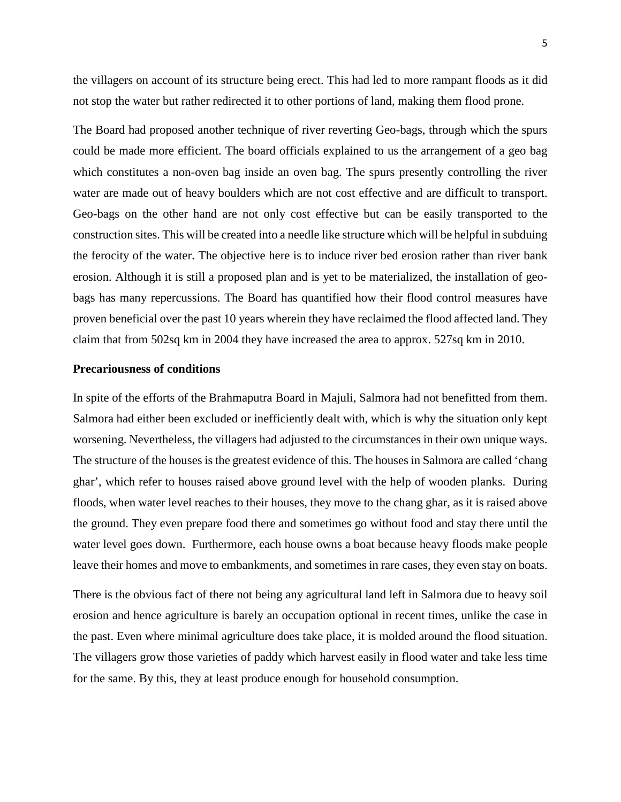the villagers on account of its structure being erect. This had led to more rampant floods as it did not stop the water but rather redirected it to other portions of land, making them flood prone.

The Board had proposed another technique of river reverting Geo-bags, through which the spurs could be made more efficient. The board officials explained to us the arrangement of a geo bag which constitutes a non-oven bag inside an oven bag. The spurs presently controlling the river water are made out of heavy boulders which are not cost effective and are difficult to transport. Geo-bags on the other hand are not only cost effective but can be easily transported to the construction sites. This will be created into a needle like structure which will be helpful in subduing the ferocity of the water. The objective here is to induce river bed erosion rather than river bank erosion. Although it is still a proposed plan and is yet to be materialized, the installation of geobags has many repercussions. The Board has quantified how their flood control measures have proven beneficial over the past 10 years wherein they have reclaimed the flood affected land. They claim that from 502sq km in 2004 they have increased the area to approx. 527sq km in 2010.

#### **Precariousness of conditions**

In spite of the efforts of the Brahmaputra Board in Majuli, Salmora had not benefitted from them. Salmora had either been excluded or inefficiently dealt with, which is why the situation only kept worsening. Nevertheless, the villagers had adjusted to the circumstances in their own unique ways. The structure of the houses is the greatest evidence of this. The houses in Salmora are called 'chang ghar', which refer to houses raised above ground level with the help of wooden planks. During floods, when water level reaches to their houses, they move to the chang ghar, as it is raised above the ground. They even prepare food there and sometimes go without food and stay there until the water level goes down. Furthermore, each house owns a boat because heavy floods make people leave their homes and move to embankments, and sometimes in rare cases, they even stay on boats.

There is the obvious fact of there not being any agricultural land left in Salmora due to heavy soil erosion and hence agriculture is barely an occupation optional in recent times, unlike the case in the past. Even where minimal agriculture does take place, it is molded around the flood situation. The villagers grow those varieties of paddy which harvest easily in flood water and take less time for the same. By this, they at least produce enough for household consumption.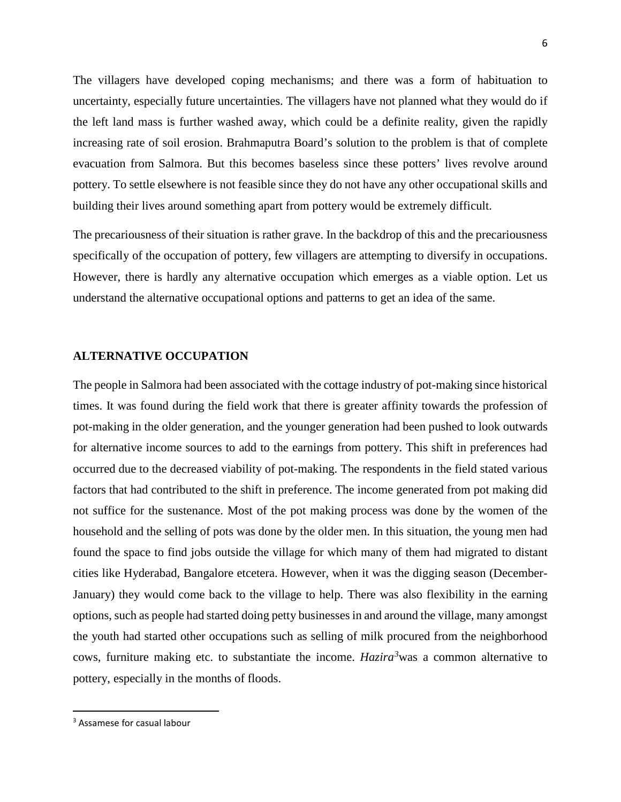The villagers have developed coping mechanisms; and there was a form of habituation to uncertainty, especially future uncertainties. The villagers have not planned what they would do if the left land mass is further washed away, which could be a definite reality, given the rapidly increasing rate of soil erosion. Brahmaputra Board's solution to the problem is that of complete evacuation from Salmora. But this becomes baseless since these potters' lives revolve around pottery. To settle elsewhere is not feasible since they do not have any other occupational skills and building their lives around something apart from pottery would be extremely difficult.

The precariousness of their situation is rather grave. In the backdrop of this and the precariousness specifically of the occupation of pottery, few villagers are attempting to diversify in occupations. However, there is hardly any alternative occupation which emerges as a viable option. Let us understand the alternative occupational options and patterns to get an idea of the same.

#### **ALTERNATIVE OCCUPATION**

The people in Salmora had been associated with the cottage industry of pot-making since historical times. It was found during the field work that there is greater affinity towards the profession of pot-making in the older generation, and the younger generation had been pushed to look outwards for alternative income sources to add to the earnings from pottery. This shift in preferences had occurred due to the decreased viability of pot-making. The respondents in the field stated various factors that had contributed to the shift in preference. The income generated from pot making did not suffice for the sustenance. Most of the pot making process was done by the women of the household and the selling of pots was done by the older men. In this situation, the young men had found the space to find jobs outside the village for which many of them had migrated to distant cities like Hyderabad, Bangalore etcetera. However, when it was the digging season (December-January) they would come back to the village to help. There was also flexibility in the earning options, such as people had started doing petty businesses in and around the village, many amongst the youth had started other occupations such as selling of milk procured from the neighborhood cows, furniture making etc. to substantiate the income. *Hazira[3](#page-5-0)* was a common alternative to pottery, especially in the months of floods.

<span id="page-5-0"></span><sup>&</sup>lt;sup>3</sup> Assamese for casual labour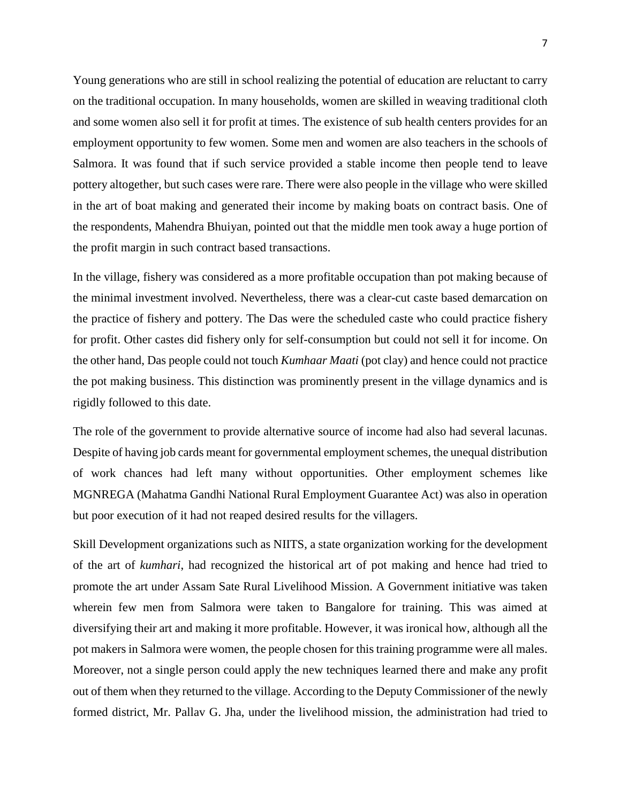Young generations who are still in school realizing the potential of education are reluctant to carry on the traditional occupation. In many households, women are skilled in weaving traditional cloth and some women also sell it for profit at times. The existence of sub health centers provides for an employment opportunity to few women. Some men and women are also teachers in the schools of Salmora. It was found that if such service provided a stable income then people tend to leave pottery altogether, but such cases were rare. There were also people in the village who were skilled in the art of boat making and generated their income by making boats on contract basis. One of the respondents, Mahendra Bhuiyan, pointed out that the middle men took away a huge portion of the profit margin in such contract based transactions.

In the village, fishery was considered as a more profitable occupation than pot making because of the minimal investment involved. Nevertheless, there was a clear-cut caste based demarcation on the practice of fishery and pottery. The Das were the scheduled caste who could practice fishery for profit. Other castes did fishery only for self-consumption but could not sell it for income. On the other hand, Das people could not touch *Kumhaar Maati* (pot clay) and hence could not practice the pot making business. This distinction was prominently present in the village dynamics and is rigidly followed to this date.

The role of the government to provide alternative source of income had also had several lacunas. Despite of having job cards meant for governmental employment schemes, the unequal distribution of work chances had left many without opportunities. Other employment schemes like MGNREGA (Mahatma Gandhi National Rural Employment Guarantee Act) was also in operation but poor execution of it had not reaped desired results for the villagers.

Skill Development organizations such as NIITS, a state organization working for the development of the art of *kumhari*, had recognized the historical art of pot making and hence had tried to promote the art under Assam Sate Rural Livelihood Mission. A Government initiative was taken wherein few men from Salmora were taken to Bangalore for training. This was aimed at diversifying their art and making it more profitable. However, it was ironical how, although all the pot makers in Salmora were women, the people chosen for this training programme were all males. Moreover, not a single person could apply the new techniques learned there and make any profit out of them when they returned to the village. According to the Deputy Commissioner of the newly formed district, Mr. Pallav G. Jha, under the livelihood mission, the administration had tried to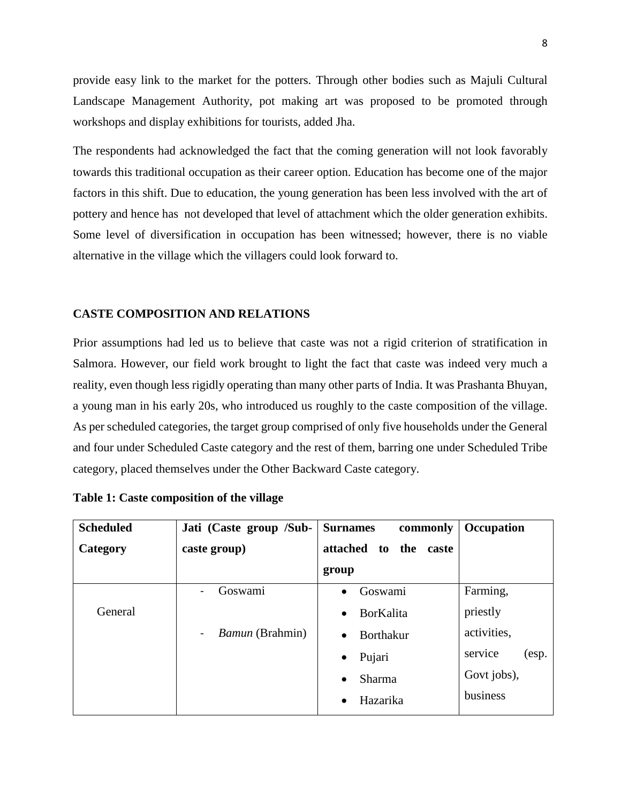provide easy link to the market for the potters. Through other bodies such as Majuli Cultural Landscape Management Authority, pot making art was proposed to be promoted through workshops and display exhibitions for tourists, added Jha.

The respondents had acknowledged the fact that the coming generation will not look favorably towards this traditional occupation as their career option. Education has become one of the major factors in this shift. Due to education, the young generation has been less involved with the art of pottery and hence has not developed that level of attachment which the older generation exhibits. Some level of diversification in occupation has been witnessed; however, there is no viable alternative in the village which the villagers could look forward to.

# **CASTE COMPOSITION AND RELATIONS**

Prior assumptions had led us to believe that caste was not a rigid criterion of stratification in Salmora. However, our field work brought to light the fact that caste was indeed very much a reality, even though less rigidly operating than many other parts of India. It was Prashanta Bhuyan, a young man in his early 20s, who introduced us roughly to the caste composition of the village. As per scheduled categories, the target group comprised of only five households under the General and four under Scheduled Caste category and the rest of them, barring one under Scheduled Tribe category, placed themselves under the Other Backward Caste category.

| <b>Scheduled</b> | Jati (Caste group /Sub-                                | <b>Surnames</b><br>commonly    | <b>Occupation</b> |
|------------------|--------------------------------------------------------|--------------------------------|-------------------|
| Category         | caste group)                                           | attached<br>the<br>to<br>caste |                   |
|                  |                                                        | group                          |                   |
|                  | Goswami                                                | Goswami<br>$\bullet$           | Farming,          |
| General          |                                                        | <b>BorKalita</b><br>$\bullet$  | priestly          |
|                  | <i>Bamun</i> (Brahmin)<br>$\qquad \qquad \blacksquare$ | <b>Borthakur</b>               | activities,       |
|                  |                                                        | Pujari                         | service<br>(esp.  |
|                  |                                                        | <b>Sharma</b>                  | Govt jobs),       |
|                  |                                                        | Hazarika                       | business          |

**Table 1: Caste composition of the village**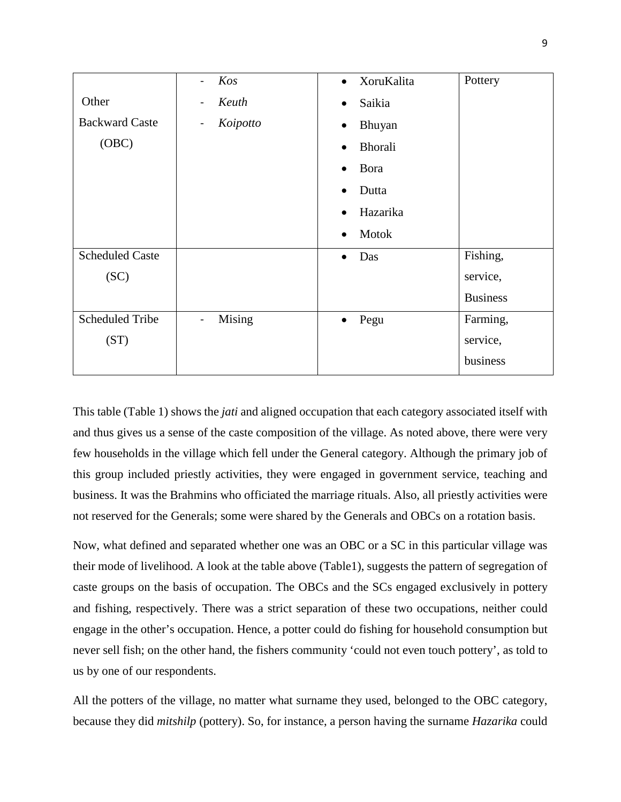|                        | Kos<br>$\blacksquare$                    | XoruKalita<br>$\bullet$     | Pottery         |
|------------------------|------------------------------------------|-----------------------------|-----------------|
| Other                  | Keuth<br>$\overline{\phantom{a}}$        | Saikia<br>$\bullet$         |                 |
| <b>Backward Caste</b>  | Koipotto<br>$\qquad \qquad \blacksquare$ | Bhuyan<br>$\bullet$         |                 |
| (OBC)                  |                                          | <b>Bhorali</b><br>$\bullet$ |                 |
|                        |                                          | Bora<br>$\bullet$           |                 |
|                        |                                          | Dutta<br>$\bullet$          |                 |
|                        |                                          | Hazarika<br>$\bullet$       |                 |
|                        |                                          | Motok<br>$\bullet$          |                 |
| <b>Scheduled Caste</b> |                                          | Das<br>$\bullet$            | Fishing,        |
| (SC)                   |                                          |                             | service,        |
|                        |                                          |                             | <b>Business</b> |
| <b>Scheduled Tribe</b> | Mising<br>$\overline{\phantom{0}}$       | Pegu<br>$\bullet$           | Farming,        |
| (ST)                   |                                          |                             | service,        |
|                        |                                          |                             | business        |

This table (Table 1) shows the *jati* and aligned occupation that each category associated itself with and thus gives us a sense of the caste composition of the village. As noted above, there were very few households in the village which fell under the General category. Although the primary job of this group included priestly activities, they were engaged in government service, teaching and business. It was the Brahmins who officiated the marriage rituals. Also, all priestly activities were not reserved for the Generals; some were shared by the Generals and OBCs on a rotation basis.

Now, what defined and separated whether one was an OBC or a SC in this particular village was their mode of livelihood. A look at the table above (Table1), suggests the pattern of segregation of caste groups on the basis of occupation. The OBCs and the SCs engaged exclusively in pottery and fishing, respectively. There was a strict separation of these two occupations, neither could engage in the other's occupation. Hence, a potter could do fishing for household consumption but never sell fish; on the other hand, the fishers community 'could not even touch pottery', as told to us by one of our respondents.

All the potters of the village, no matter what surname they used, belonged to the OBC category, because they did *mitshilp* (pottery). So, for instance, a person having the surname *Hazarika* could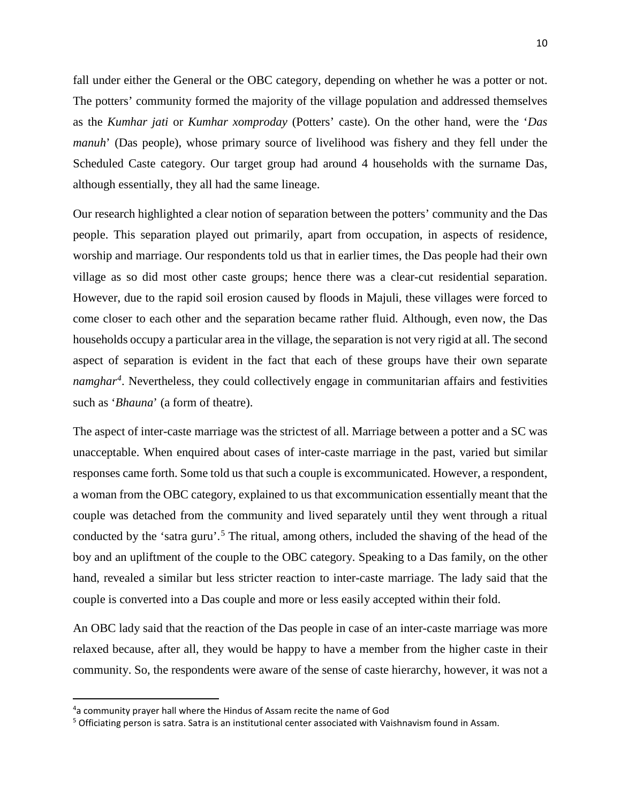fall under either the General or the OBC category, depending on whether he was a potter or not. The potters' community formed the majority of the village population and addressed themselves as the *Kumhar jati* or *Kumhar xomproday* (Potters' caste). On the other hand, were the '*Das manuh*' (Das people), whose primary source of livelihood was fishery and they fell under the Scheduled Caste category. Our target group had around 4 households with the surname Das, although essentially, they all had the same lineage.

Our research highlighted a clear notion of separation between the potters' community and the Das people. This separation played out primarily, apart from occupation, in aspects of residence, worship and marriage. Our respondents told us that in earlier times, the Das people had their own village as so did most other caste groups; hence there was a clear-cut residential separation. However, due to the rapid soil erosion caused by floods in Majuli, these villages were forced to come closer to each other and the separation became rather fluid. Although, even now, the Das households occupy a particular area in the village, the separation is not very rigid at all. The second aspect of separation is evident in the fact that each of these groups have their own separate *namghar[4](#page-9-0)* . Nevertheless, they could collectively engage in communitarian affairs and festivities such as '*Bhauna*' (a form of theatre).

The aspect of inter-caste marriage was the strictest of all. Marriage between a potter and a SC was unacceptable. When enquired about cases of inter-caste marriage in the past, varied but similar responses came forth. Some told us that such a couple is excommunicated. However, a respondent, a woman from the OBC category, explained to us that excommunication essentially meant that the couple was detached from the community and lived separately until they went through a ritual conducted by the 'satra guru'.<sup>[5](#page-9-1)</sup> The ritual, among others, included the shaving of the head of the boy and an upliftment of the couple to the OBC category. Speaking to a Das family, on the other hand, revealed a similar but less stricter reaction to inter-caste marriage. The lady said that the couple is converted into a Das couple and more or less easily accepted within their fold.

An OBC lady said that the reaction of the Das people in case of an inter-caste marriage was more relaxed because, after all, they would be happy to have a member from the higher caste in their community. So, the respondents were aware of the sense of caste hierarchy, however, it was not a

<span id="page-9-0"></span> $\overline{4}$ a community prayer hall where the Hindus of Assam recite the name of God

<span id="page-9-1"></span><sup>&</sup>lt;sup>5</sup> Officiating person is satra. Satra is an institutional center associated with Vaishnavism found in Assam.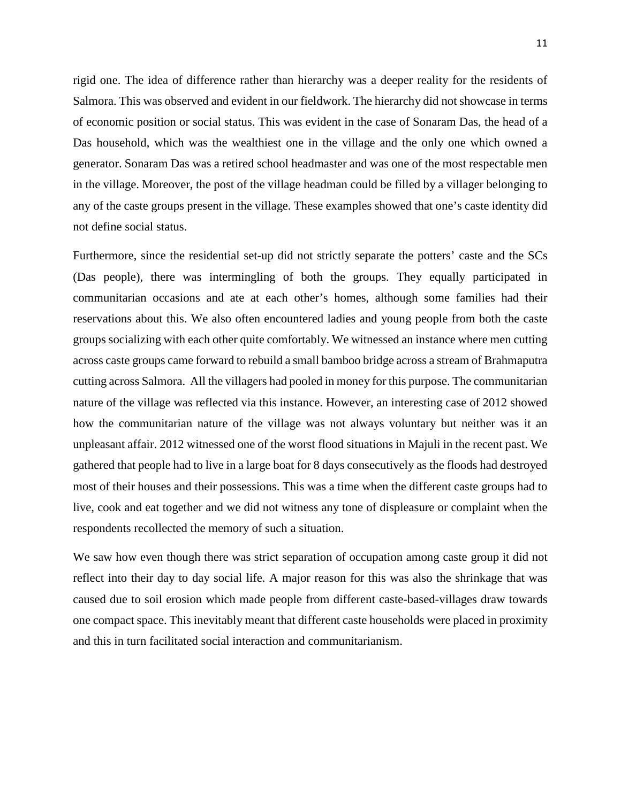rigid one. The idea of difference rather than hierarchy was a deeper reality for the residents of Salmora. This was observed and evident in our fieldwork. The hierarchy did not showcase in terms of economic position or social status. This was evident in the case of Sonaram Das, the head of a Das household, which was the wealthiest one in the village and the only one which owned a generator. Sonaram Das was a retired school headmaster and was one of the most respectable men in the village. Moreover, the post of the village headman could be filled by a villager belonging to any of the caste groups present in the village. These examples showed that one's caste identity did not define social status.

Furthermore, since the residential set-up did not strictly separate the potters' caste and the SCs (Das people), there was intermingling of both the groups. They equally participated in communitarian occasions and ate at each other's homes, although some families had their reservations about this. We also often encountered ladies and young people from both the caste groups socializing with each other quite comfortably. We witnessed an instance where men cutting across caste groups came forward to rebuild a small bamboo bridge across a stream of Brahmaputra cutting across Salmora. All the villagers had pooled in money for this purpose. The communitarian nature of the village was reflected via this instance. However, an interesting case of 2012 showed how the communitarian nature of the village was not always voluntary but neither was it an unpleasant affair. 2012 witnessed one of the worst flood situations in Majuli in the recent past. We gathered that people had to live in a large boat for 8 days consecutively as the floods had destroyed most of their houses and their possessions. This was a time when the different caste groups had to live, cook and eat together and we did not witness any tone of displeasure or complaint when the respondents recollected the memory of such a situation.

We saw how even though there was strict separation of occupation among caste group it did not reflect into their day to day social life. A major reason for this was also the shrinkage that was caused due to soil erosion which made people from different caste-based-villages draw towards one compact space. This inevitably meant that different caste households were placed in proximity and this in turn facilitated social interaction and communitarianism.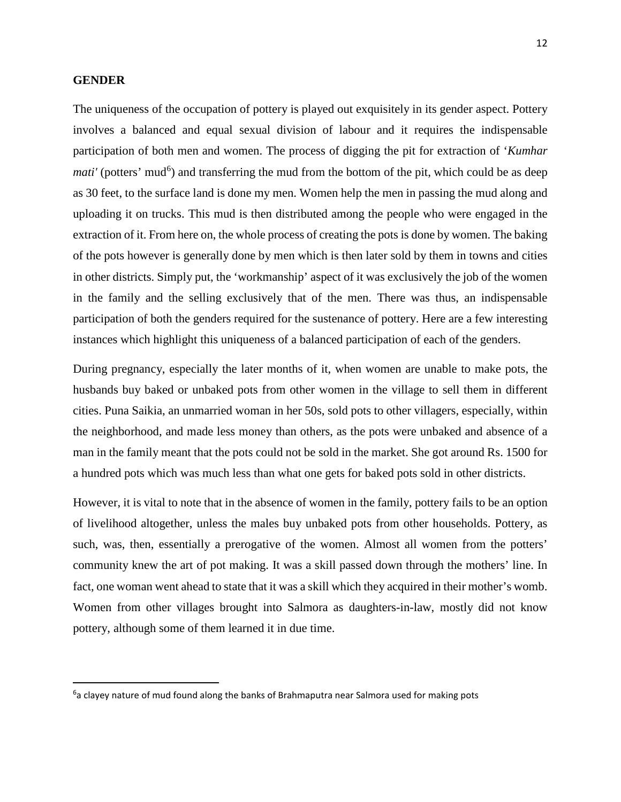## **GENDER**

The uniqueness of the occupation of pottery is played out exquisitely in its gender aspect. Pottery involves a balanced and equal sexual division of labour and it requires the indispensable participation of both men and women. The process of digging the pit for extraction of '*Kumhar mati'* (potters' mud<sup>[6](#page-11-0)</sup>) and transferring the mud from the bottom of the pit, which could be as deep as 30 feet, to the surface land is done my men. Women help the men in passing the mud along and uploading it on trucks. This mud is then distributed among the people who were engaged in the extraction of it. From here on, the whole process of creating the pots is done by women. The baking of the pots however is generally done by men which is then later sold by them in towns and cities in other districts. Simply put, the 'workmanship' aspect of it was exclusively the job of the women in the family and the selling exclusively that of the men. There was thus, an indispensable participation of both the genders required for the sustenance of pottery. Here are a few interesting instances which highlight this uniqueness of a balanced participation of each of the genders.

During pregnancy, especially the later months of it, when women are unable to make pots, the husbands buy baked or unbaked pots from other women in the village to sell them in different cities. Puna Saikia, an unmarried woman in her 50s, sold pots to other villagers, especially, within the neighborhood, and made less money than others, as the pots were unbaked and absence of a man in the family meant that the pots could not be sold in the market. She got around Rs. 1500 for a hundred pots which was much less than what one gets for baked pots sold in other districts.

However, it is vital to note that in the absence of women in the family, pottery fails to be an option of livelihood altogether, unless the males buy unbaked pots from other households. Pottery, as such, was, then, essentially a prerogative of the women. Almost all women from the potters' community knew the art of pot making. It was a skill passed down through the mothers' line. In fact, one woman went ahead to state that it was a skill which they acquired in their mother's womb. Women from other villages brought into Salmora as daughters-in-law, mostly did not know pottery, although some of them learned it in due time.

<span id="page-11-0"></span><sup>—&</sup>lt;br>6  $6a$  clayey nature of mud found along the banks of Brahmaputra near Salmora used for making pots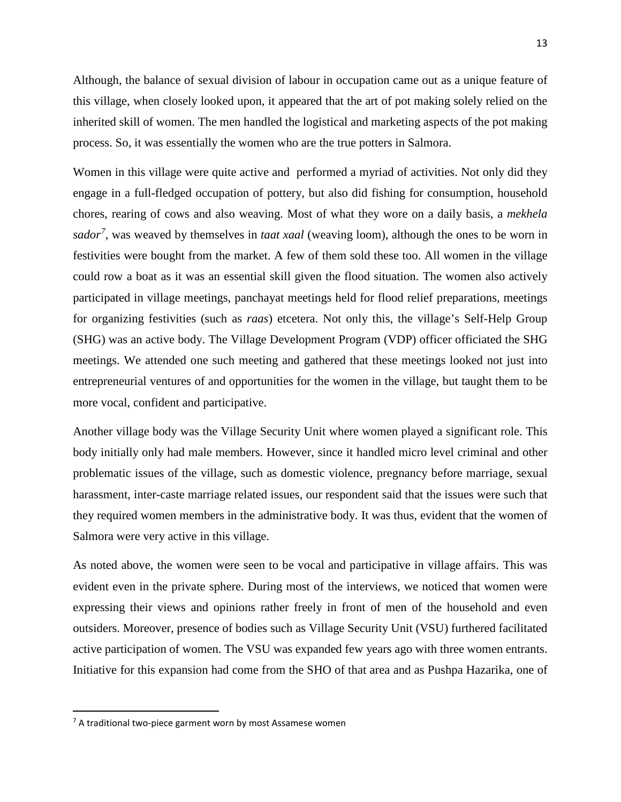Although, the balance of sexual division of labour in occupation came out as a unique feature of this village, when closely looked upon, it appeared that the art of pot making solely relied on the inherited skill of women. The men handled the logistical and marketing aspects of the pot making process. So, it was essentially the women who are the true potters in Salmora.

Women in this village were quite active and performed a myriad of activities. Not only did they engage in a full-fledged occupation of pottery, but also did fishing for consumption, household chores, rearing of cows and also weaving. Most of what they wore on a daily basis, a *mekhela sador[7](#page-12-0)* , was weaved by themselves in *taat xaal* (weaving loom), although the ones to be worn in festivities were bought from the market. A few of them sold these too. All women in the village could row a boat as it was an essential skill given the flood situation. The women also actively participated in village meetings, panchayat meetings held for flood relief preparations, meetings for organizing festivities (such as *raas*) etcetera. Not only this, the village's Self-Help Group (SHG) was an active body. The Village Development Program (VDP) officer officiated the SHG meetings. We attended one such meeting and gathered that these meetings looked not just into entrepreneurial ventures of and opportunities for the women in the village, but taught them to be more vocal, confident and participative.

Another village body was the Village Security Unit where women played a significant role. This body initially only had male members. However, since it handled micro level criminal and other problematic issues of the village, such as domestic violence, pregnancy before marriage, sexual harassment, inter-caste marriage related issues, our respondent said that the issues were such that they required women members in the administrative body. It was thus, evident that the women of Salmora were very active in this village.

As noted above, the women were seen to be vocal and participative in village affairs. This was evident even in the private sphere. During most of the interviews, we noticed that women were expressing their views and opinions rather freely in front of men of the household and even outsiders. Moreover, presence of bodies such as Village Security Unit (VSU) furthered facilitated active participation of women. The VSU was expanded few years ago with three women entrants. Initiative for this expansion had come from the SHO of that area and as Pushpa Hazarika, one of

<span id="page-12-0"></span> $<sup>7</sup>$  A traditional two-piece garment worn by most Assamese women</sup>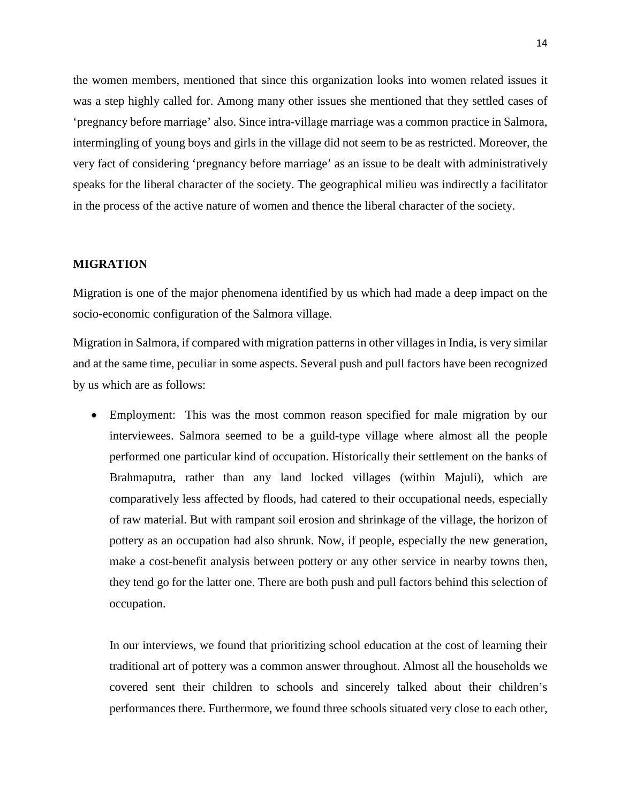the women members, mentioned that since this organization looks into women related issues it was a step highly called for. Among many other issues she mentioned that they settled cases of 'pregnancy before marriage' also. Since intra-village marriage was a common practice in Salmora, intermingling of young boys and girls in the village did not seem to be as restricted. Moreover, the very fact of considering 'pregnancy before marriage' as an issue to be dealt with administratively speaks for the liberal character of the society. The geographical milieu was indirectly a facilitator in the process of the active nature of women and thence the liberal character of the society.

# **MIGRATION**

Migration is one of the major phenomena identified by us which had made a deep impact on the socio-economic configuration of the Salmora village.

Migration in Salmora, if compared with migration patterns in other villages in India, is very similar and at the same time, peculiar in some aspects. Several push and pull factors have been recognized by us which are as follows:

• Employment: This was the most common reason specified for male migration by our interviewees. Salmora seemed to be a guild-type village where almost all the people performed one particular kind of occupation. Historically their settlement on the banks of Brahmaputra, rather than any land locked villages (within Majuli), which are comparatively less affected by floods, had catered to their occupational needs, especially of raw material. But with rampant soil erosion and shrinkage of the village, the horizon of pottery as an occupation had also shrunk. Now, if people, especially the new generation, make a cost-benefit analysis between pottery or any other service in nearby towns then, they tend go for the latter one. There are both push and pull factors behind this selection of occupation.

In our interviews, we found that prioritizing school education at the cost of learning their traditional art of pottery was a common answer throughout. Almost all the households we covered sent their children to schools and sincerely talked about their children's performances there. Furthermore, we found three schools situated very close to each other,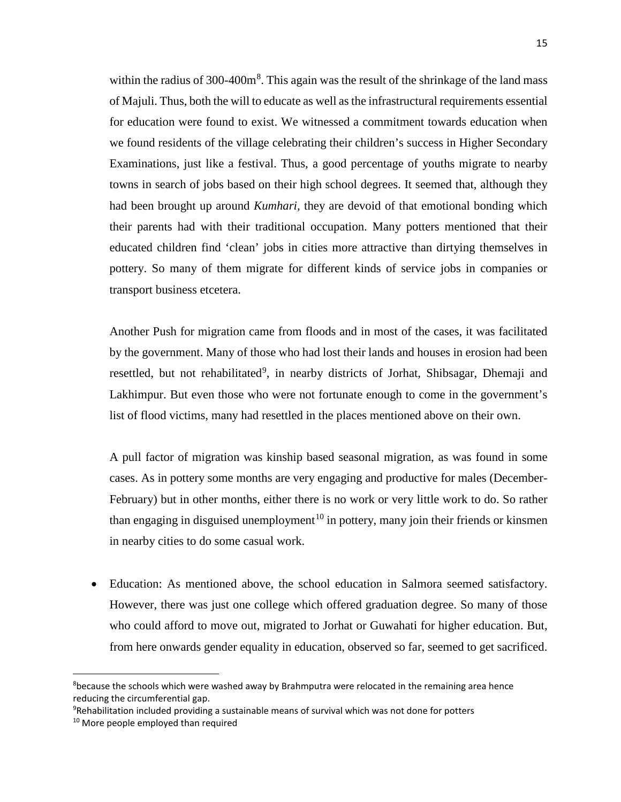within the radius of  $300-400m<sup>8</sup>$  $300-400m<sup>8</sup>$  $300-400m<sup>8</sup>$ . This again was the result of the shrinkage of the land mass of Majuli. Thus, both the will to educate as well as the infrastructural requirements essential for education were found to exist. We witnessed a commitment towards education when we found residents of the village celebrating their children's success in Higher Secondary Examinations, just like a festival. Thus, a good percentage of youths migrate to nearby towns in search of jobs based on their high school degrees. It seemed that, although they had been brought up around *Kumhari,* they are devoid of that emotional bonding which their parents had with their traditional occupation. Many potters mentioned that their educated children find 'clean' jobs in cities more attractive than dirtying themselves in pottery. So many of them migrate for different kinds of service jobs in companies or transport business etcetera.

Another Push for migration came from floods and in most of the cases, it was facilitated by the government. Many of those who had lost their lands and houses in erosion had been resettled, but not rehabilitated<sup>[9](#page-14-1)</sup>, in nearby districts of Jorhat, Shibsagar, Dhemaji and Lakhimpur. But even those who were not fortunate enough to come in the government's list of flood victims, many had resettled in the places mentioned above on their own.

A pull factor of migration was kinship based seasonal migration, as was found in some cases. As in pottery some months are very engaging and productive for males (December-February) but in other months, either there is no work or very little work to do. So rather than engaging in disguised unemployment<sup>[10](#page-14-2)</sup> in pottery, many join their friends or kinsmen in nearby cities to do some casual work.

• Education: As mentioned above, the school education in Salmora seemed satisfactory. However, there was just one college which offered graduation degree. So many of those who could afford to move out, migrated to Jorhat or Guwahati for higher education. But, from here onwards gender equality in education, observed so far, seemed to get sacrificed.

<span id="page-14-0"></span><sup>-&</sup>lt;br>8 <sup>8</sup>because the schools which were washed away by Brahmputra were relocated in the remaining area hence reducing the circumferential gap.

<sup>9</sup> Rehabilitation included providing a sustainable means of survival which was not done for potters

<span id="page-14-2"></span><span id="page-14-1"></span><sup>&</sup>lt;sup>10</sup> More people employed than required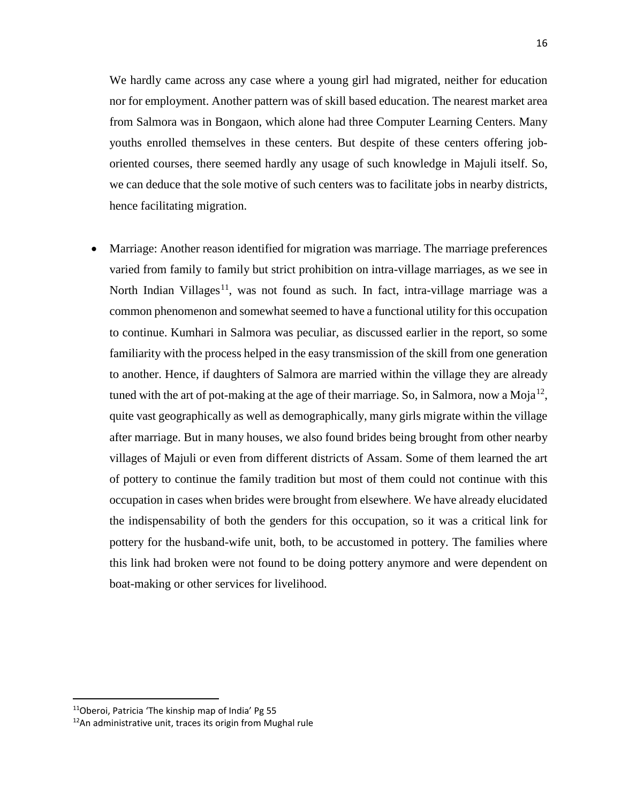We hardly came across any case where a young girl had migrated, neither for education nor for employment. Another pattern was of skill based education. The nearest market area from Salmora was in Bongaon, which alone had three Computer Learning Centers. Many youths enrolled themselves in these centers. But despite of these centers offering joboriented courses, there seemed hardly any usage of such knowledge in Majuli itself. So, we can deduce that the sole motive of such centers was to facilitate jobs in nearby districts, hence facilitating migration.

• Marriage: Another reason identified for migration was marriage. The marriage preferences varied from family to family but strict prohibition on intra-village marriages, as we see in North Indian Villages<sup>11</sup>, was not found as such. In fact, intra-village marriage was a common phenomenon and somewhat seemed to have a functional utility for this occupation to continue. Kumhari in Salmora was peculiar, as discussed earlier in the report, so some familiarity with the process helped in the easy transmission of the skill from one generation to another. Hence, if daughters of Salmora are married within the village they are already tuned with the art of pot-making at the age of their marriage. So, in Salmora, now a Moja<sup>[12](#page-15-1)</sup>, quite vast geographically as well as demographically, many girls migrate within the village after marriage. But in many houses, we also found brides being brought from other nearby villages of Majuli or even from different districts of Assam. Some of them learned the art of pottery to continue the family tradition but most of them could not continue with this occupation in cases when brides were brought from elsewhere. We have already elucidated the indispensability of both the genders for this occupation, so it was a critical link for pottery for the husband-wife unit, both, to be accustomed in pottery. The families where this link had broken were not found to be doing pottery anymore and were dependent on boat-making or other services for livelihood.

<span id="page-15-0"></span> <sup>11</sup>Oberoi, Patricia 'The kinship map of India' Pg 55

<span id="page-15-1"></span> $12$ An administrative unit, traces its origin from Mughal rule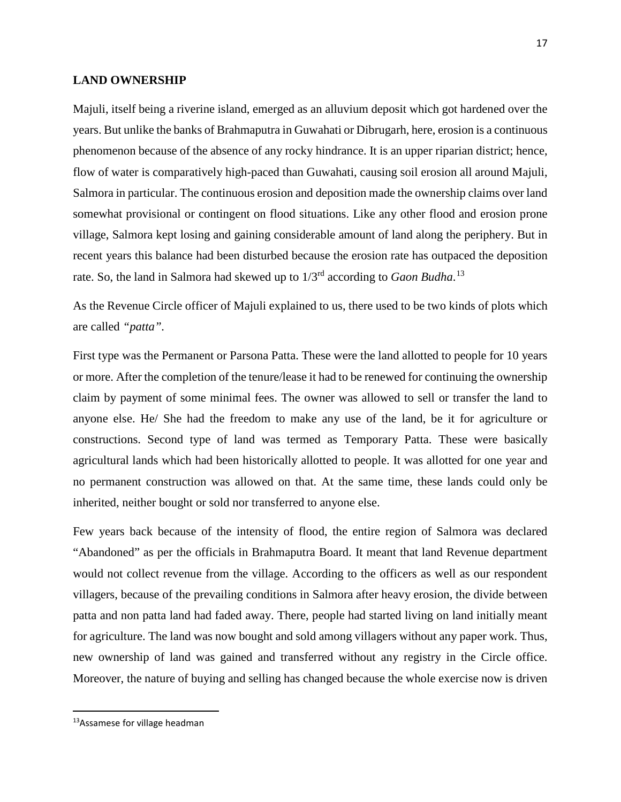## **LAND OWNERSHIP**

Majuli, itself being a riverine island, emerged as an alluvium deposit which got hardened over the years. But unlike the banks of Brahmaputra in Guwahati or Dibrugarh, here, erosion is a continuous phenomenon because of the absence of any rocky hindrance. It is an upper riparian district; hence, flow of water is comparatively high-paced than Guwahati, causing soil erosion all around Majuli, Salmora in particular. The continuous erosion and deposition made the ownership claims over land somewhat provisional or contingent on flood situations. Like any other flood and erosion prone village, Salmora kept losing and gaining considerable amount of land along the periphery. But in recent years this balance had been disturbed because the erosion rate has outpaced the deposition rate. So, the land in Salmora had skewed up to 1/3<sup>rd</sup> according to *Gaon Budha*.<sup>[13](#page-16-0)</sup>

As the Revenue Circle officer of Majuli explained to us, there used to be two kinds of plots which are called *"patta".*

First type was the Permanent or Parsona Patta. These were the land allotted to people for 10 years or more. After the completion of the tenure/lease it had to be renewed for continuing the ownership claim by payment of some minimal fees. The owner was allowed to sell or transfer the land to anyone else. He/ She had the freedom to make any use of the land, be it for agriculture or constructions. Second type of land was termed as Temporary Patta. These were basically agricultural lands which had been historically allotted to people. It was allotted for one year and no permanent construction was allowed on that. At the same time, these lands could only be inherited, neither bought or sold nor transferred to anyone else.

Few years back because of the intensity of flood, the entire region of Salmora was declared "Abandoned" as per the officials in Brahmaputra Board. It meant that land Revenue department would not collect revenue from the village. According to the officers as well as our respondent villagers, because of the prevailing conditions in Salmora after heavy erosion, the divide between patta and non patta land had faded away. There, people had started living on land initially meant for agriculture. The land was now bought and sold among villagers without any paper work. Thus, new ownership of land was gained and transferred without any registry in the Circle office. Moreover, the nature of buying and selling has changed because the whole exercise now is driven

<span id="page-16-0"></span><sup>&</sup>lt;sup>13</sup>Assamese for village headman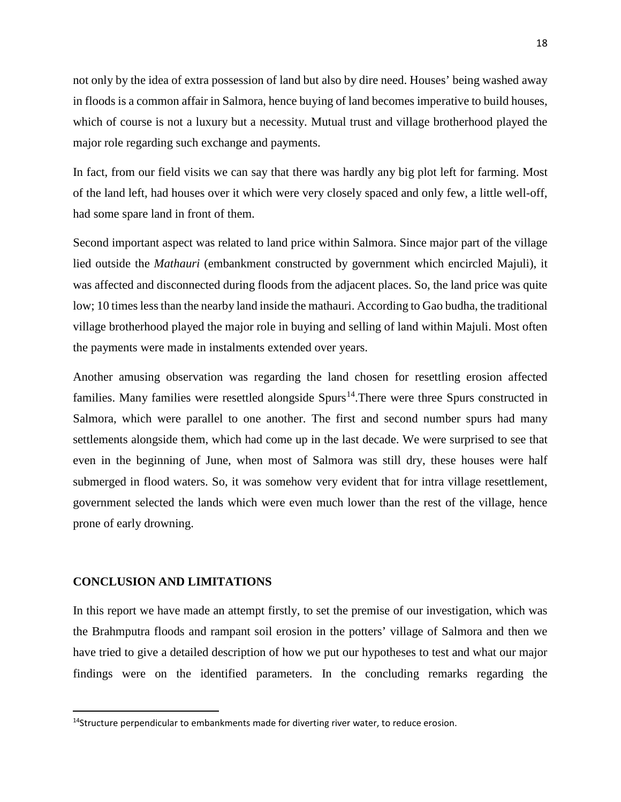not only by the idea of extra possession of land but also by dire need. Houses' being washed away in floods is a common affair in Salmora, hence buying of land becomes imperative to build houses, which of course is not a luxury but a necessity. Mutual trust and village brotherhood played the major role regarding such exchange and payments.

In fact, from our field visits we can say that there was hardly any big plot left for farming. Most of the land left, had houses over it which were very closely spaced and only few, a little well-off, had some spare land in front of them.

Second important aspect was related to land price within Salmora. Since major part of the village lied outside the *Mathauri* (embankment constructed by government which encircled Majuli), it was affected and disconnected during floods from the adjacent places. So, the land price was quite low; 10 times less than the nearby land inside the mathauri. According to Gao budha, the traditional village brotherhood played the major role in buying and selling of land within Majuli. Most often the payments were made in instalments extended over years.

Another amusing observation was regarding the land chosen for resettling erosion affected families. Many families were resettled alongside  $Spurs<sup>14</sup>$  $Spurs<sup>14</sup>$  $Spurs<sup>14</sup>$ . There were three Spurs constructed in Salmora, which were parallel to one another. The first and second number spurs had many settlements alongside them, which had come up in the last decade. We were surprised to see that even in the beginning of June, when most of Salmora was still dry, these houses were half submerged in flood waters. So, it was somehow very evident that for intra village resettlement, government selected the lands which were even much lower than the rest of the village, hence prone of early drowning.

# **CONCLUSION AND LIMITATIONS**

In this report we have made an attempt firstly, to set the premise of our investigation, which was the Brahmputra floods and rampant soil erosion in the potters' village of Salmora and then we have tried to give a detailed description of how we put our hypotheses to test and what our major findings were on the identified parameters. In the concluding remarks regarding the

<span id="page-17-0"></span> $14$ Structure perpendicular to embankments made for diverting river water, to reduce erosion.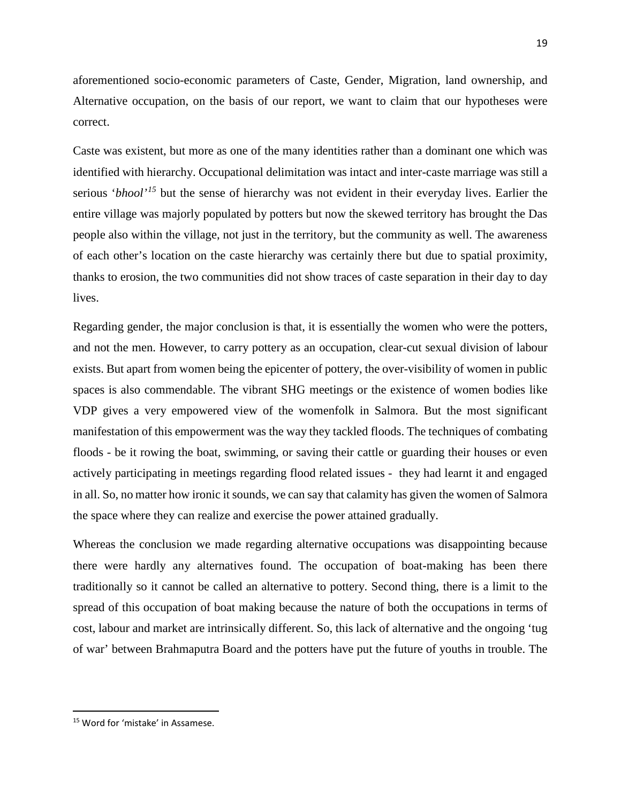aforementioned socio-economic parameters of Caste, Gender, Migration, land ownership, and Alternative occupation, on the basis of our report, we want to claim that our hypotheses were correct.

Caste was existent, but more as one of the many identities rather than a dominant one which was identified with hierarchy. Occupational delimitation was intact and inter-caste marriage was still a serious '*bhool'[15](#page-18-0)* but the sense of hierarchy was not evident in their everyday lives. Earlier the entire village was majorly populated by potters but now the skewed territory has brought the Das people also within the village, not just in the territory, but the community as well. The awareness of each other's location on the caste hierarchy was certainly there but due to spatial proximity, thanks to erosion, the two communities did not show traces of caste separation in their day to day lives.

Regarding gender, the major conclusion is that, it is essentially the women who were the potters, and not the men. However, to carry pottery as an occupation, clear-cut sexual division of labour exists. But apart from women being the epicenter of pottery, the over-visibility of women in public spaces is also commendable. The vibrant SHG meetings or the existence of women bodies like VDP gives a very empowered view of the womenfolk in Salmora. But the most significant manifestation of this empowerment was the way they tackled floods. The techniques of combating floods - be it rowing the boat, swimming, or saving their cattle or guarding their houses or even actively participating in meetings regarding flood related issues - they had learnt it and engaged in all. So, no matter how ironic it sounds, we can say that calamity has given the women of Salmora the space where they can realize and exercise the power attained gradually.

Whereas the conclusion we made regarding alternative occupations was disappointing because there were hardly any alternatives found. The occupation of boat-making has been there traditionally so it cannot be called an alternative to pottery. Second thing, there is a limit to the spread of this occupation of boat making because the nature of both the occupations in terms of cost, labour and market are intrinsically different. So, this lack of alternative and the ongoing 'tug of war' between Brahmaputra Board and the potters have put the future of youths in trouble. The

<span id="page-18-0"></span> <sup>15</sup> Word for 'mistake' in Assamese.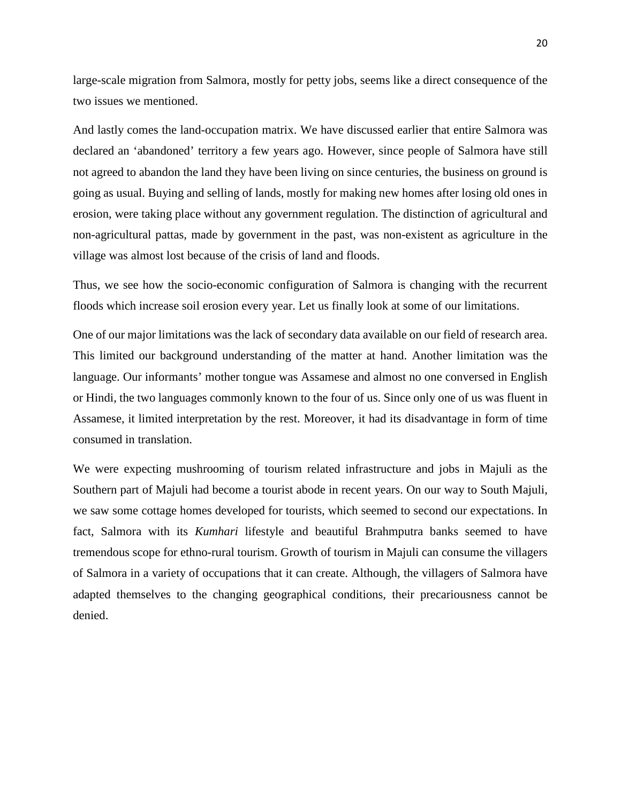large-scale migration from Salmora, mostly for petty jobs, seems like a direct consequence of the two issues we mentioned.

And lastly comes the land-occupation matrix. We have discussed earlier that entire Salmora was declared an 'abandoned' territory a few years ago. However, since people of Salmora have still not agreed to abandon the land they have been living on since centuries, the business on ground is going as usual. Buying and selling of lands, mostly for making new homes after losing old ones in erosion, were taking place without any government regulation. The distinction of agricultural and non-agricultural pattas, made by government in the past, was non-existent as agriculture in the village was almost lost because of the crisis of land and floods.

Thus, we see how the socio-economic configuration of Salmora is changing with the recurrent floods which increase soil erosion every year. Let us finally look at some of our limitations.

One of our major limitations was the lack of secondary data available on our field of research area. This limited our background understanding of the matter at hand. Another limitation was the language. Our informants' mother tongue was Assamese and almost no one conversed in English or Hindi, the two languages commonly known to the four of us. Since only one of us was fluent in Assamese, it limited interpretation by the rest. Moreover, it had its disadvantage in form of time consumed in translation.

We were expecting mushrooming of tourism related infrastructure and jobs in Majuli as the Southern part of Majuli had become a tourist abode in recent years. On our way to South Majuli, we saw some cottage homes developed for tourists, which seemed to second our expectations. In fact, Salmora with its *Kumhari* lifestyle and beautiful Brahmputra banks seemed to have tremendous scope for ethno-rural tourism. Growth of tourism in Majuli can consume the villagers of Salmora in a variety of occupations that it can create. Although, the villagers of Salmora have adapted themselves to the changing geographical conditions, their precariousness cannot be denied.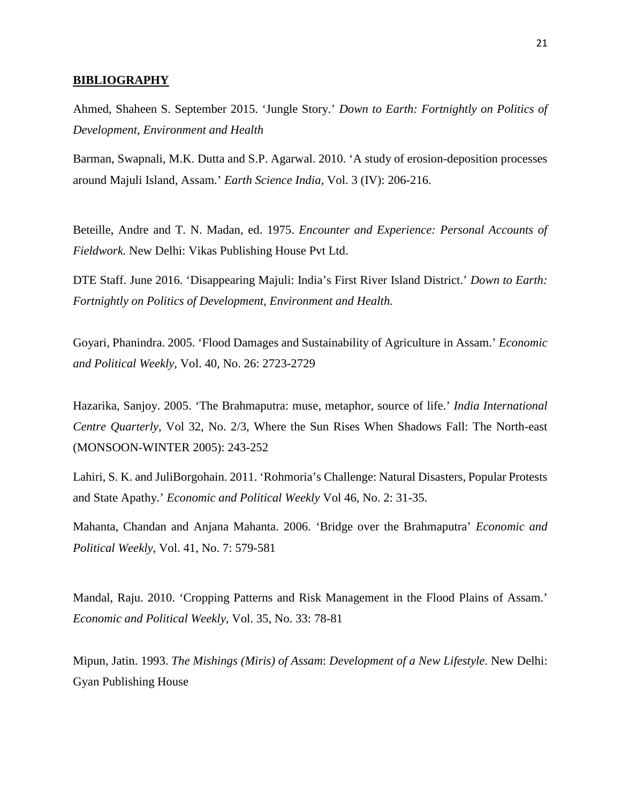#### **BIBLIOGRAPHY**

Ahmed, Shaheen S. September 2015. 'Jungle Story.' *Down to Earth: Fortnightly on Politics of Development, Environment and Health*

Barman, Swapnali, M.K. Dutta and S.P. Agarwal. 2010. 'A study of erosion-deposition processes around Majuli Island, Assam.' *Earth Science India*, Vol. 3 (IV): 206-216.

Beteille, Andre and T. N. Madan, ed. 1975. *Encounter and Experience: Personal Accounts of Fieldwork.* New Delhi: Vikas Publishing House Pvt Ltd.

DTE Staff. June 2016. 'Disappearing Majuli: India's First River Island District.' *Down to Earth: Fortnightly on Politics of Development, Environment and Health.* 

Goyari, Phanindra. 2005. 'Flood Damages and Sustainability of Agriculture in Assam.' *Economic and Political Weekly*, Vol. 40, No. 26: 2723-2729

Hazarika, Sanjoy. 2005. 'The Brahmaputra: muse, metaphor, source of life.' *India International Centre Quarterly*, Vol 32, No. 2/3, Where the Sun Rises When Shadows Fall: The North-east (MONSOON-WINTER 2005): 243-252

Lahiri, S. K. and JuliBorgohain. 2011. 'Rohmoria's Challenge: Natural Disasters, Popular Protests and State Apathy.' *Economic and Political Weekly* Vol 46, No. 2: 31-35.

Mahanta, Chandan and Anjana Mahanta. 2006. 'Bridge over the Brahmaputra' *Economic and Political Weekly*, Vol. 41, No. 7: 579-581

Mandal, Raju. 2010. 'Cropping Patterns and Risk Management in the Flood Plains of Assam.' *Economic and Political Weekly*, Vol. 35, No. 33: 78-81

Mipun, Jatin. 1993. *The Mishings (Miris) of Assam*: *Development of a New Lifestyle*. New Delhi: Gyan Publishing House